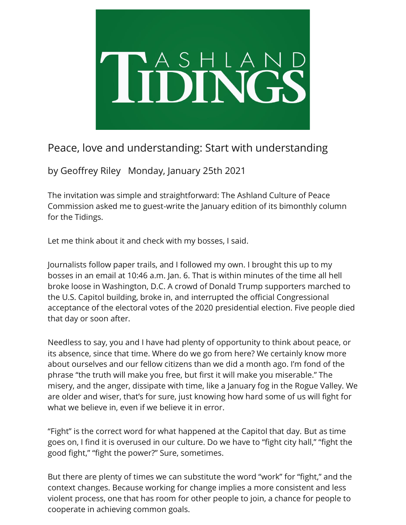

## Peace, love and understanding: Start with understanding

by Geoffrey Riley Monday, January 25th 2021

The invitation was simple and straightforward: The Ashland Culture of Peace Commission asked me to guest-write the January edition of its bimonthly column for the Tidings.

Let me think about it and check with my bosses, I said.

Journalists follow paper trails, and I followed my own. I brought this up to my bosses in an email at 10:46 a.m. Jan. 6. That is within minutes of the time all hell broke loose in Washington, D.C. A crowd of Donald Trump supporters marched to the U.S. Capitol building, broke in, and interrupted the official Congressional acceptance of the electoral votes of the 2020 presidential election. Five people died that day or soon after.

Needless to say, you and I have had plenty of opportunity to think about peace, or its absence, since that time. Where do we go from here? We certainly know more about ourselves and our fellow citizens than we did a month ago. I'm fond of the phrase "the truth will make you free, but first it will make you miserable." The misery, and the anger, dissipate with time, like a January fog in the Rogue Valley. We are older and wiser, that's for sure, just knowing how hard some of us will fight for what we believe in, even if we believe it in error.

"Fight" is the correct word for what happened at the Capitol that day. But as time goes on, I find it is overused in our culture. Do we have to "fight city hall," "fight the good fight," "fight the power?" Sure, sometimes.

But there are plenty of times we can substitute the word "work" for "fight," and the context changes. Because working for change implies a more consistent and less violent process, one that has room for other people to join, a chance for people to cooperate in achieving common goals.